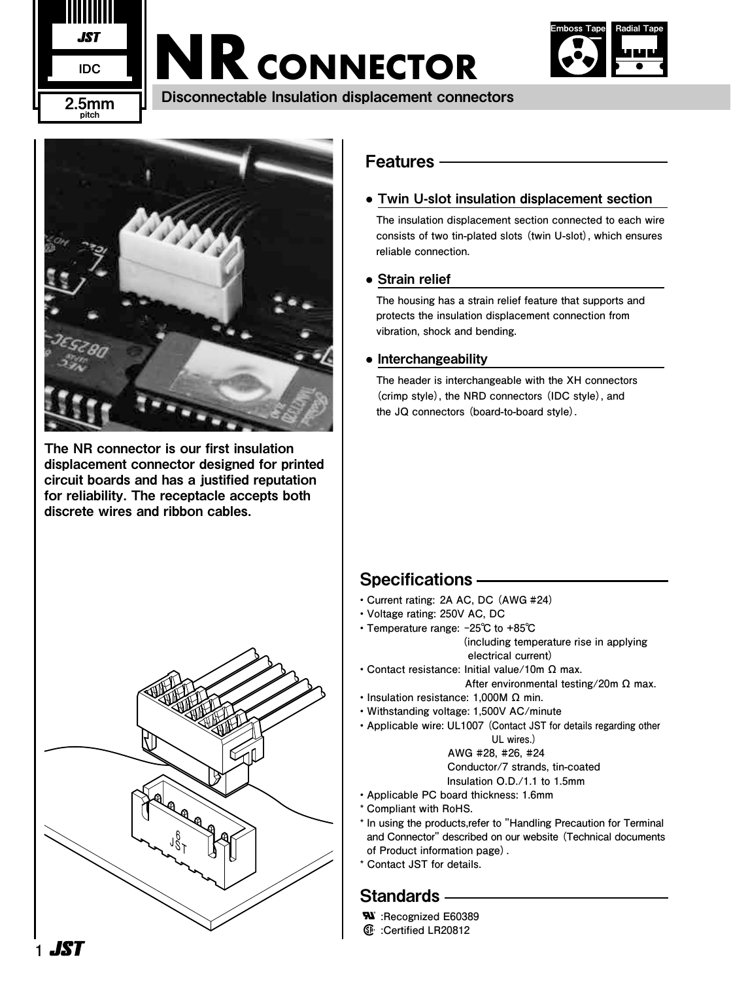

# **NR CONNECTOR**



Disconnectable Insulation displacement connectors



The NR connector is our first insulation displacement connector designed for printed circuit boards and has a justified reputation for reliability. The receptacle accepts both discrete wires and ribbon cables.



## Features

## ● Twin U-slot insulation displacement section

**The insulation displacement section connected to each wire consists of two tin-plated slots (twin U-slot), which ensures reliable connection.**

## • Strain relief

**The housing has a strain relief feature that supports and protects the insulation displacement connection from vibration, shock and bending.**

## ● Interchangeability

**The header is interchangeable with the XH connectors (crimp style), the NRD connectors (IDC style), and the JQ connectors (board-to-board style).**

# Specifications

- **Current rating: 2A AC, DC (AWG #24)**
- **Voltage rating: 250V AC, DC**
- **Temperature range: -25℃ to +85℃ (including temperature rise in applying electrical current)**
- **Contact resistance: Initial value/10m Ω max.** 
	- **After environmental testing/20m Ω max.**
- **Insulation resistance: 1,000M Ω min.**
- **Withstanding voltage: 1,500V AC/minute**
- **Applicable wire: UL1007 (Contact JST for details regarding other UL wires.)**

 **AWG #28, #26, #24 Conductor/7 strands, tin-coated** 

**Insulation O.D./1.1 to 1.5mm**

- **Applicable PC board thickness: 1.6mm**
- **\* Compliant with RoHS.**
- **\* In using the products,refer to "Handling Precaution for Terminal and Connector" described on our website (Technical documents of Product information page).**
- **\* Contact JST for details.**

# Standards —

- **W**: Recognized E60389
- **:Certified LR20812**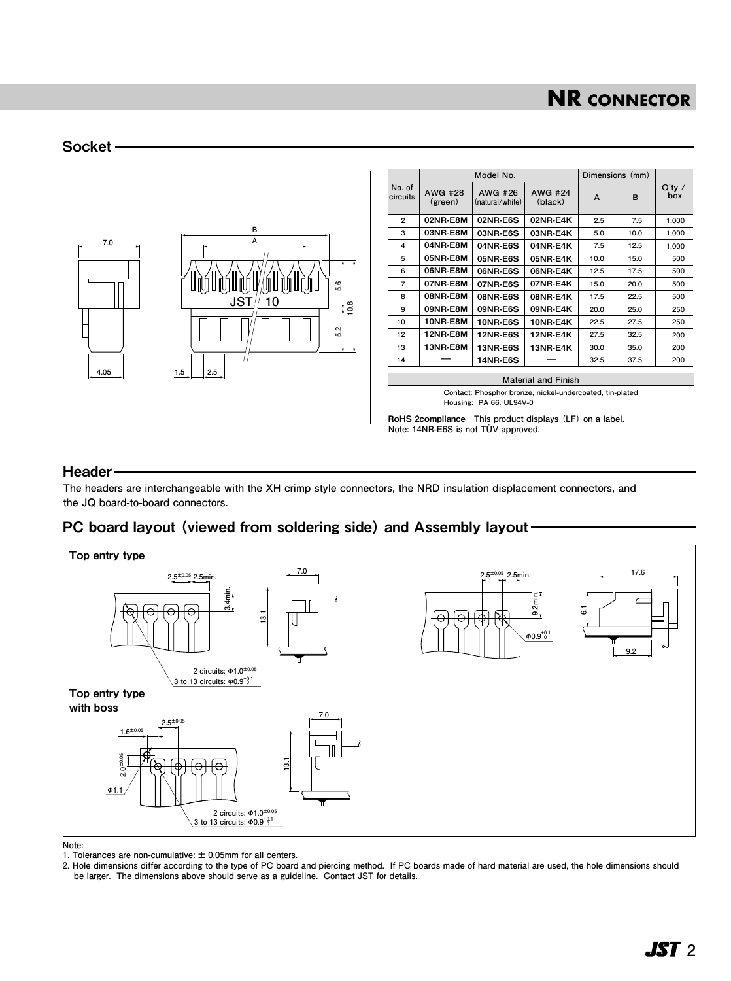# **NR CONNECTOR**

#### Socket



Header

**The headers are interchangeable with the XH crimp style connectors, the NRD insulation displacement connectors, and the JQ board-to-board connectors.**

### PC board layout (viewed from soldering side) and Assembly layout



**Note:** 

**1. Tolerances are non-cumulative: ± 0.05mm for all centers.**

**2. Hole dimensions differ according to the type of PC board and piercing method. If PC boards made of hard material are used, the hole dimensions should be larger. The dimensions above should serve as a guideline. Contact JST for details.**